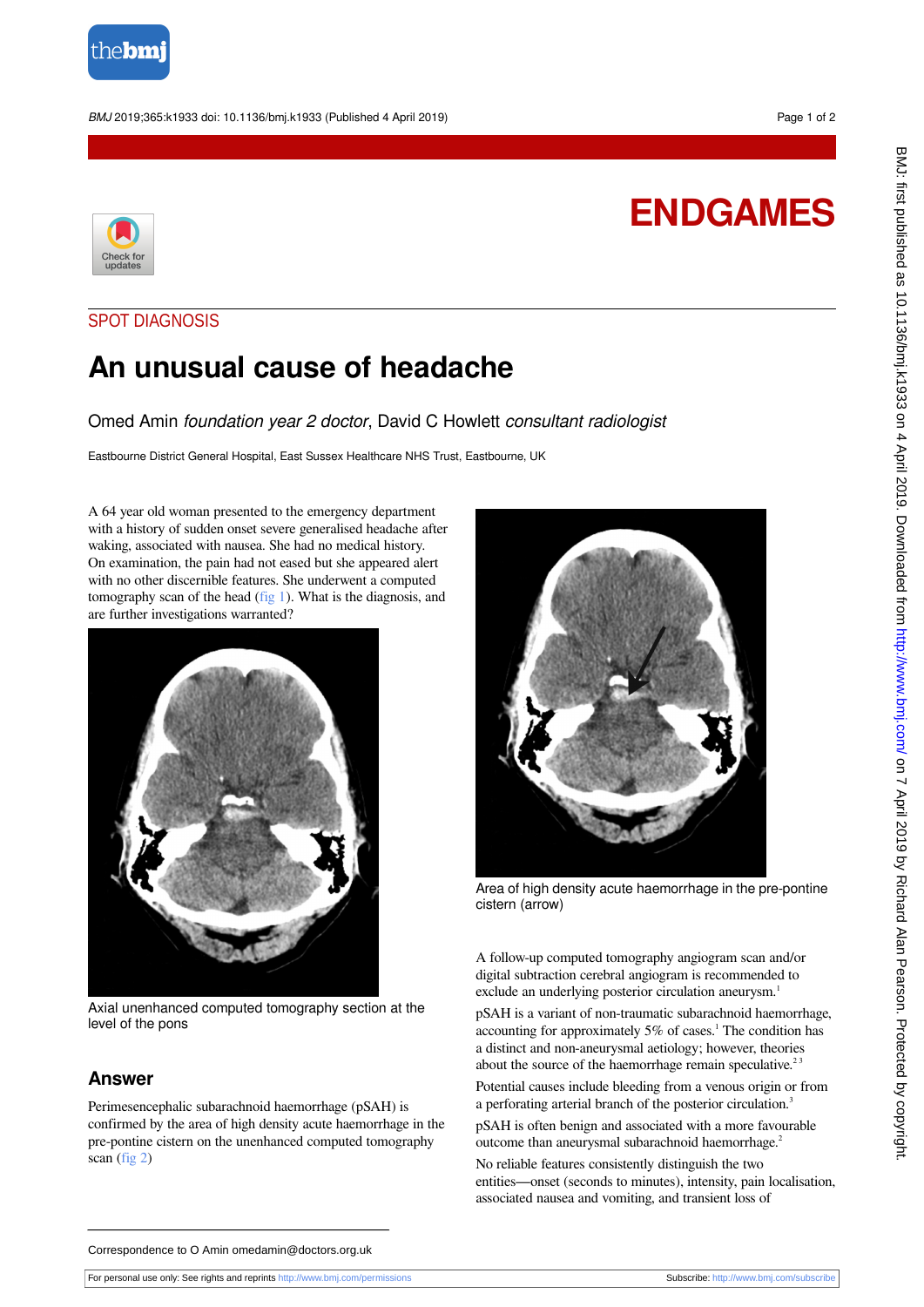

#### BMJ 2019;365:k1933 doi: 10.1136/bmj.k1933 (Published 4 April 2019) Page 1 of 2



# **ENDGAMES**

### SPOT DIAGNOSIS

## **An unusual cause of headache**

Omed Amin foundation year 2 doctor, David C Howlett consultant radiologist

Eastbourne District General Hospital, East Sussex Healthcare NHS Trust, Eastbourne, UK

<span id="page-0-0"></span>A 64 year old woman presented to the emergency department with a history of sudden onset severe generalised headache after waking, associated with nausea. She had no medical history. On examination, the pain had not eased but she appeared alert with no other discernible features. She underwent a computed tomography scan of the head  $(f_1g_1)$ . What is the diagnosis, and are further investigations warranted?



Axial unenhanced computed tomography section at the level of the pons

### **Answer**

Perimesencephalic subarachnoid haemorrhage (pSAH) is confirmed by the area of high density acute haemorrhage in the pre-pontine cistern on the unenhanced computed tomography scan [\(fig 2](#page-0-1))

<span id="page-0-1"></span>

Area of high density acute haemorrhage in the pre-pontine cistern (arrow)

A follow-up computed tomography angiogram scan and/or digital subtraction cerebral angiogram is recommended to exclude an underlying posterior circulation aneurysm.<sup>1</sup>

pSAH is a variant of non-traumatic subarachnoid haemorrhage, accounting for approximately  $5\%$  of cases.<sup>1</sup> The condition has a distinct and non-aneurysmal aetiology; however, theories about the source of the haemorrhage remain speculative.<sup>23</sup>

Potential causes include bleeding from a venous origin or from a perforating arterial branch of the posterior circulation.<sup>3</sup>

pSAH is often benign and associated with a more favourable outcome than aneurysmal subarachnoid haemorrhage.<sup>2</sup>

No reliable features consistently distinguish the two entities—onset (seconds to minutes), intensity, pain localisation, associated nausea and vomiting, and transient loss of